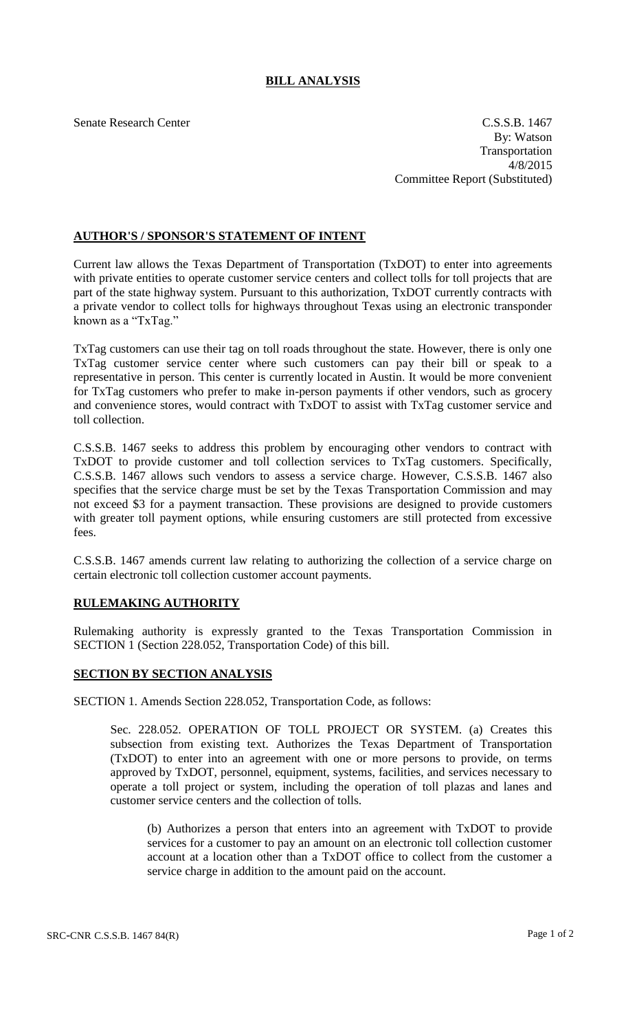## **BILL ANALYSIS**

Senate Research Center C.S.S.B. 1467 By: Watson Transportation 4/8/2015 Committee Report (Substituted)

## **AUTHOR'S / SPONSOR'S STATEMENT OF INTENT**

Current law allows the Texas Department of Transportation (TxDOT) to enter into agreements with private entities to operate customer service centers and collect tolls for toll projects that are part of the state highway system. Pursuant to this authorization, TxDOT currently contracts with a private vendor to collect tolls for highways throughout Texas using an electronic transponder known as a "TxTag."

TxTag customers can use their tag on toll roads throughout the state. However, there is only one TxTag customer service center where such customers can pay their bill or speak to a representative in person. This center is currently located in Austin. It would be more convenient for TxTag customers who prefer to make in-person payments if other vendors, such as grocery and convenience stores, would contract with TxDOT to assist with TxTag customer service and toll collection.

C.S.S.B. 1467 seeks to address this problem by encouraging other vendors to contract with TxDOT to provide customer and toll collection services to TxTag customers. Specifically, C.S.S.B. 1467 allows such vendors to assess a service charge. However, C.S.S.B. 1467 also specifies that the service charge must be set by the Texas Transportation Commission and may not exceed \$3 for a payment transaction. These provisions are designed to provide customers with greater toll payment options, while ensuring customers are still protected from excessive fees.

C.S.S.B. 1467 amends current law relating to authorizing the collection of a service charge on certain electronic toll collection customer account payments.

## **RULEMAKING AUTHORITY**

Rulemaking authority is expressly granted to the Texas Transportation Commission in SECTION 1 (Section 228.052, Transportation Code) of this bill.

## **SECTION BY SECTION ANALYSIS**

SECTION 1. Amends Section 228.052, Transportation Code, as follows:

Sec. 228.052. OPERATION OF TOLL PROJECT OR SYSTEM. (a) Creates this subsection from existing text. Authorizes the Texas Department of Transportation (TxDOT) to enter into an agreement with one or more persons to provide, on terms approved by TxDOT, personnel, equipment, systems, facilities, and services necessary to operate a toll project or system, including the operation of toll plazas and lanes and customer service centers and the collection of tolls.

(b) Authorizes a person that enters into an agreement with TxDOT to provide services for a customer to pay an amount on an electronic toll collection customer account at a location other than a TxDOT office to collect from the customer a service charge in addition to the amount paid on the account.